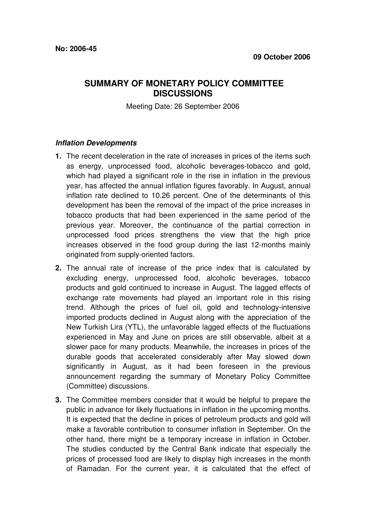# **SUMMARY OF MONETARY POLICY COMMITTEE DISCUSSIONS**

Meeting Date: 26 September 2006

### **Inflation Developments**

- **1.** The recent deceleration in the rate of increases in prices of the items such as energy, unprocessed food, alcoholic beverages-tobacco and gold, which had played a significant role in the rise in inflation in the previous year, has affected the annual inflation figures favorably. In August, annual inflation rate declined to 10.26 percent. One of the determinants of this development has been the removal of the impact of the price increases in tobacco products that had been experienced in the same period of the previous year. Moreover, the continuance of the partial correction in unprocessed food prices strengthens the view that the high price increases observed in the food group during the last 12-months mainly originated from supply-oriented factors.
- **2.** The annual rate of increase of the price index that is calculated by excluding energy, unprocessed food, alcoholic beverages, tobacco products and gold continued to increase in August. The lagged effects of exchange rate movements had played an important role in this rising trend. Although the prices of fuel oil, gold and technology-intensive imported products declined in August along with the appreciation of the New Turkish Lira (YTL), the unfavorable lagged effects of the fluctuations experienced in May and June on prices are still observable, albeit at a slower pace for many products. Meanwhile, the increases in prices of the durable goods that accelerated considerably after May slowed down significantly in August, as it had been foreseen in the previous announcement regarding the summary of Monetary Policy Committee (Committee) discussions.
- **3.** The Committee members consider that it would be helpful to prepare the public in advance for likely fluctuations in inflation in the upcoming months. It is expected that the decline in prices of petroleum products and gold will make a favorable contribution to consumer inflation in September. On the other hand, there might be a temporary increase in inflation in October. The studies conducted by the Central Bank indicate that especially the prices of processed food are likely to display high increases in the month of Ramadan. For the current year, it is calculated that the effect of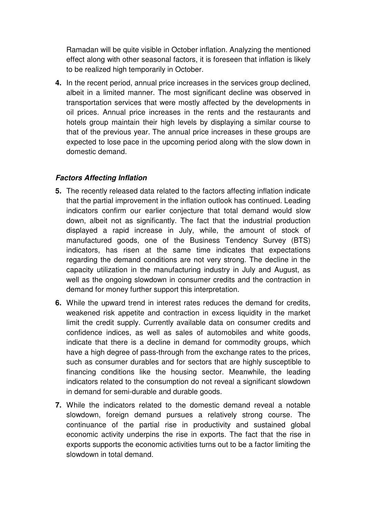Ramadan will be quite visible in October inflation. Analyzing the mentioned effect along with other seasonal factors, it is foreseen that inflation is likely to be realized high temporarily in October.

**4.** In the recent period, annual price increases in the services group declined, albeit in a limited manner. The most significant decline was observed in transportation services that were mostly affected by the developments in oil prices. Annual price increases in the rents and the restaurants and hotels group maintain their high levels by displaying a similar course to that of the previous year. The annual price increases in these groups are expected to lose pace in the upcoming period along with the slow down in domestic demand.

## **Factors Affecting Inflation**

- **5.** The recently released data related to the factors affecting inflation indicate that the partial improvement in the inflation outlook has continued. Leading indicators confirm our earlier conjecture that total demand would slow down, albeit not as significantly. The fact that the industrial production displayed a rapid increase in July, while, the amount of stock of manufactured goods, one of the Business Tendency Survey (BTS) indicators, has risen at the same time indicates that expectations regarding the demand conditions are not very strong. The decline in the capacity utilization in the manufacturing industry in July and August, as well as the ongoing slowdown in consumer credits and the contraction in demand for money further support this interpretation.
- **6.** While the upward trend in interest rates reduces the demand for credits, weakened risk appetite and contraction in excess liquidity in the market limit the credit supply. Currently available data on consumer credits and confidence indices, as well as sales of automobiles and white goods, indicate that there is a decline in demand for commodity groups, which have a high degree of pass-through from the exchange rates to the prices, such as consumer durables and for sectors that are highly susceptible to financing conditions like the housing sector. Meanwhile, the leading indicators related to the consumption do not reveal a significant slowdown in demand for semi-durable and durable goods.
- **7.** While the indicators related to the domestic demand reveal a notable slowdown, foreign demand pursues a relatively strong course. The continuance of the partial rise in productivity and sustained global economic activity underpins the rise in exports. The fact that the rise in exports supports the economic activities turns out to be a factor limiting the slowdown in total demand.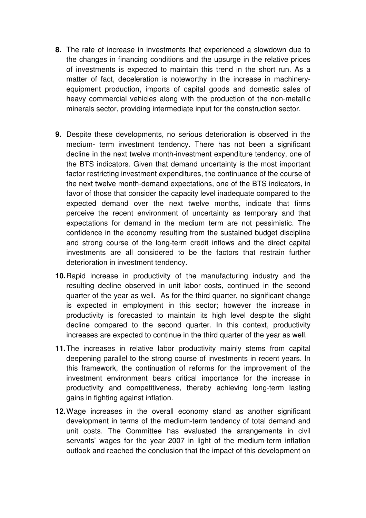- **8.** The rate of increase in investments that experienced a slowdown due to the changes in financing conditions and the upsurge in the relative prices of investments is expected to maintain this trend in the short run. As a matter of fact, deceleration is noteworthy in the increase in machineryequipment production, imports of capital goods and domestic sales of heavy commercial vehicles along with the production of the non-metallic minerals sector, providing intermediate input for the construction sector.
- **9.** Despite these developments, no serious deterioration is observed in the medium- term investment tendency. There has not been a significant decline in the next twelve month-investment expenditure tendency, one of the BTS indicators. Given that demand uncertainty is the most important factor restricting investment expenditures, the continuance of the course of the next twelve month-demand expectations, one of the BTS indicators, in favor of those that consider the capacity level inadequate compared to the expected demand over the next twelve months, indicate that firms perceive the recent environment of uncertainty as temporary and that expectations for demand in the medium term are not pessimistic. The confidence in the economy resulting from the sustained budget discipline and strong course of the long-term credit inflows and the direct capital investments are all considered to be the factors that restrain further deterioration in investment tendency.
- **10.** Rapid increase in productivity of the manufacturing industry and the resulting decline observed in unit labor costs, continued in the second quarter of the year as well. As for the third quarter, no significant change is expected in employment in this sector; however the increase in productivity is forecasted to maintain its high level despite the slight decline compared to the second quarter. In this context, productivity increases are expected to continue in the third quarter of the year as well.
- **11.** The increases in relative labor productivity mainly stems from capital deepening parallel to the strong course of investments in recent years. In this framework, the continuation of reforms for the improvement of the investment environment bears critical importance for the increase in productivity and competitiveness, thereby achieving long-term lasting gains in fighting against inflation.
- **12.** Wage increases in the overall economy stand as another significant development in terms of the medium-term tendency of total demand and unit costs. The Committee has evaluated the arrangements in civil servants' wages for the year 2007 in light of the medium-term inflation outlook and reached the conclusion that the impact of this development on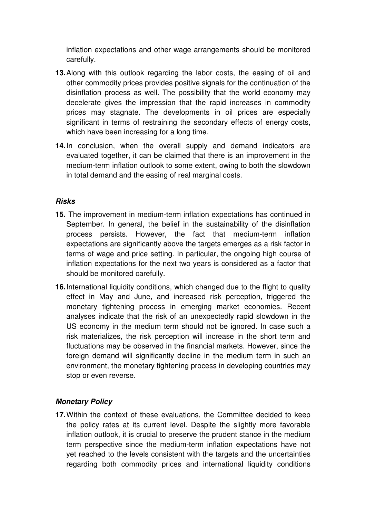inflation expectations and other wage arrangements should be monitored carefully.

- **13.** Along with this outlook regarding the labor costs, the easing of oil and other commodity prices provides positive signals for the continuation of the disinflation process as well. The possibility that the world economy may decelerate gives the impression that the rapid increases in commodity prices may stagnate. The developments in oil prices are especially significant in terms of restraining the secondary effects of energy costs, which have been increasing for a long time.
- 14. In conclusion, when the overall supply and demand indicators are evaluated together, it can be claimed that there is an improvement in the medium-term inflation outlook to some extent, owing to both the slowdown in total demand and the easing of real marginal costs.

## **Risks**

- **15.** The improvement in medium-term inflation expectations has continued in September. In general, the belief in the sustainability of the disinflation process persists. However, the fact that medium-term inflation expectations are significantly above the targets emerges as a risk factor in terms of wage and price setting. In particular, the ongoing high course of inflation expectations for the next two years is considered as a factor that should be monitored carefully.
- **16.** International liquidity conditions, which changed due to the flight to quality effect in May and June, and increased risk perception, triggered the monetary tightening process in emerging market economies. Recent analyses indicate that the risk of an unexpectedly rapid slowdown in the US economy in the medium term should not be ignored. In case such a risk materializes, the risk perception will increase in the short term and fluctuations may be observed in the financial markets. However, since the foreign demand will significantly decline in the medium term in such an environment, the monetary tightening process in developing countries may stop or even reverse.

## **Monetary Policy**

**17.** Within the context of these evaluations, the Committee decided to keep the policy rates at its current level. Despite the slightly more favorable inflation outlook, it is crucial to preserve the prudent stance in the medium term perspective since the medium-term inflation expectations have not yet reached to the levels consistent with the targets and the uncertainties regarding both commodity prices and international liquidity conditions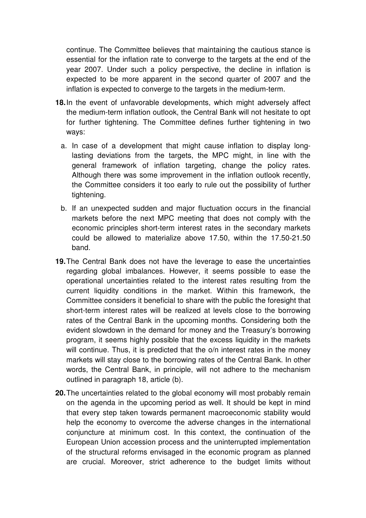continue. The Committee believes that maintaining the cautious stance is essential for the inflation rate to converge to the targets at the end of the year 2007. Under such a policy perspective, the decline in inflation is expected to be more apparent in the second quarter of 2007 and the inflation is expected to converge to the targets in the medium-term.

- **18.** In the event of unfavorable developments, which might adversely affect the medium-term inflation outlook, the Central Bank will not hesitate to opt for further tightening. The Committee defines further tightening in two ways:
	- a. In case of a development that might cause inflation to display longlasting deviations from the targets, the MPC might, in line with the general framework of inflation targeting, change the policy rates. Although there was some improvement in the inflation outlook recently, the Committee considers it too early to rule out the possibility of further tightening.
	- b. If an unexpected sudden and major fluctuation occurs in the financial markets before the next MPC meeting that does not comply with the economic principles short-term interest rates in the secondary markets could be allowed to materialize above 17.50, within the 17.50-21.50 band.
- **19.** The Central Bank does not have the leverage to ease the uncertainties regarding global imbalances. However, it seems possible to ease the operational uncertainties related to the interest rates resulting from the current liquidity conditions in the market. Within this framework, the Committee considers it beneficial to share with the public the foresight that short-term interest rates will be realized at levels close to the borrowing rates of the Central Bank in the upcoming months. Considering both the evident slowdown in the demand for money and the Treasury's borrowing program, it seems highly possible that the excess liquidity in the markets will continue. Thus, it is predicted that the  $o/n$  interest rates in the money markets will stay close to the borrowing rates of the Central Bank. In other words, the Central Bank, in principle, will not adhere to the mechanism outlined in paragraph 18, article (b).
- **20.** The uncertainties related to the global economy will most probably remain on the agenda in the upcoming period as well. It should be kept in mind that every step taken towards permanent macroeconomic stability would help the economy to overcome the adverse changes in the international conjuncture at minimum cost. In this context, the continuation of the European Union accession process and the uninterrupted implementation of the structural reforms envisaged in the economic program as planned are crucial. Moreover, strict adherence to the budget limits without